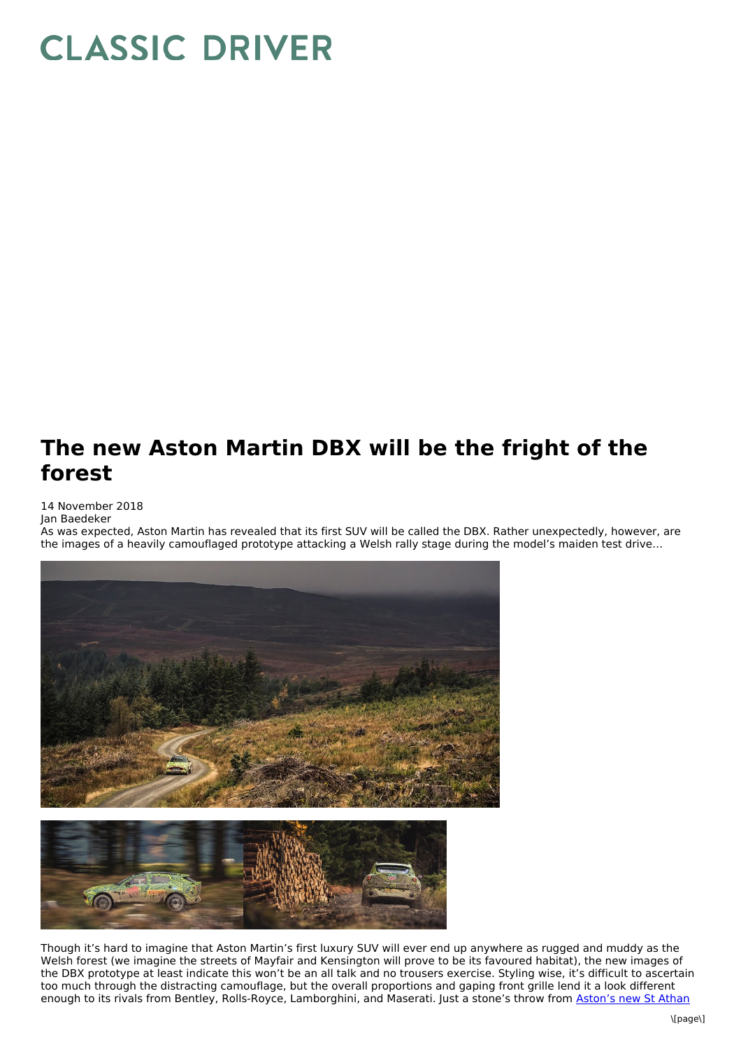## **CLASSIC DRIVER**

## **The new Aston Martin DBX will be the fright of the forest**

## 14 November 2018

Jan Baedeker

As was expected, Aston Martin has revealed that its first SUV will be called the DBX. Rather unexpectedly, however, are the images of a heavily camouflaged prototype attacking a Welsh rally stage during the model's maiden test drive…





Though it's hard to imagine that Aston Martin's first luxury SUV will ever end up anywhere as rugged and muddy as the Welsh forest (we imagine the streets of Mayfair and Kensington will prove to be its favoured habitat), the new images of the DBX prototype at least indicate this won't be an all talk and no trousers exercise. Styling wise, it's difficult to ascertain too much through the distracting camouflage, but the overall proportions and gaping front grille lend it a look different enough to its rivals from Bentley, Rolls-Royce, [Lamborghini,](https://www.classicdriver.com/en/article/cars/will-collectors-one-day-dream-aston-martins-made-st-athan) and Maserati. Just a stone's throw from Aston's new St Athan